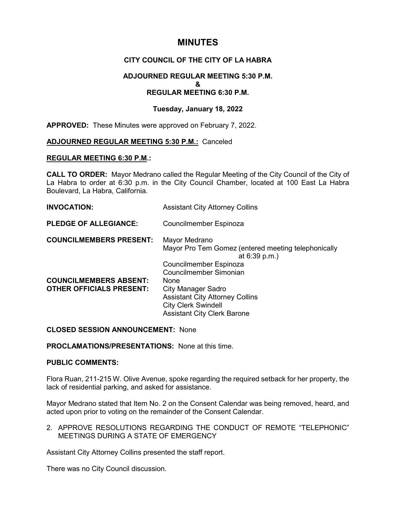# **MINUTES**

## **CITY COUNCIL OF THE CITY OF LA HABRA**

### **ADJOURNED REGULAR MEETING 5:30 P.M. & REGULAR MEETING 6:30 P.M.**

### **Tuesday, January 18, 2022**

**APPROVED:** These Minutes were approved on February 7, 2022.

#### **ADJOURNED REGULAR MEETING 5:30 P.M.:** Canceled

#### **REGULAR MEETING 6:30 P.M.:**

**CALL TO ORDER:** Mayor Medrano called the Regular Meeting of the City Council of the City of La Habra to order at 6:30 p.m. in the City Council Chamber, located at 100 East La Habra Boulevard, La Habra, California.

| <b>INVOCATION:</b>                                               | <b>Assistant City Attorney Collins</b>                                                                                                    |
|------------------------------------------------------------------|-------------------------------------------------------------------------------------------------------------------------------------------|
| <b>PLEDGE OF ALLEGIANCE:</b>                                     | Councilmember Espinoza                                                                                                                    |
| <b>COUNCILMEMBERS PRESENT:</b>                                   | Mayor Medrano<br>Mayor Pro Tem Gomez (entered meeting telephonically<br>at 6:39 p.m.)<br>Councilmember Espinoza<br>Councilmember Simonian |
| <b>COUNCILMEMBERS ABSENT:</b><br><b>OTHER OFFICIALS PRESENT:</b> | None<br>City Manager Sadro<br><b>Assistant City Attorney Collins</b><br><b>City Clerk Swindell</b><br><b>Assistant City Clerk Barone</b>  |

**CLOSED SESSION ANNOUNCEMENT:** None

**PROCLAMATIONS/PRESENTATIONS:** None at this time.

#### **PUBLIC COMMENTS:**

Flora Ruan, 211-215 W. Olive Avenue, spoke regarding the required setback for her property, the lack of residential parking, and asked for assistance.

Mayor Medrano stated that Item No. 2 on the Consent Calendar was being removed, heard, and acted upon prior to voting on the remainder of the Consent Calendar.

2. APPROVE RESOLUTIONS REGARDING THE CONDUCT OF REMOTE "TELEPHONIC" MEETINGS DURING A STATE OF EMERGENCY

Assistant City Attorney Collins presented the staff report.

There was no City Council discussion.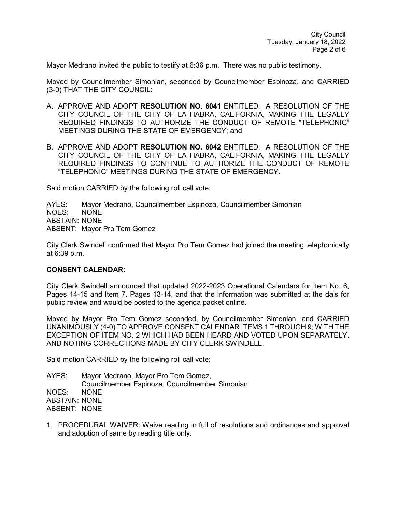Mayor Medrano invited the public to testify at 6:36 p.m. There was no public testimony.

Moved by Councilmember Simonian, seconded by Councilmember Espinoza, and CARRIED (3-0) THAT THE CITY COUNCIL:

- A. APPROVE AND ADOPT **RESOLUTION NO. 6041** ENTITLED: A RESOLUTION OF THE CITY COUNCIL OF THE CITY OF LA HABRA, CALIFORNIA, MAKING THE LEGALLY REQUIRED FINDINGS TO AUTHORIZE THE CONDUCT OF REMOTE "TELEPHONIC" MEETINGS DURING THE STATE OF EMERGENCY; and
- B. APPROVE AND ADOPT **RESOLUTION NO. 6042** ENTITLED: A RESOLUTION OF THE CITY COUNCIL OF THE CITY OF LA HABRA, CALIFORNIA, MAKING THE LEGALLY REQUIRED FINDINGS TO CONTINUE TO AUTHORIZE THE CONDUCT OF REMOTE "TELEPHONIC" MEETINGS DURING THE STATE OF EMERGENCY.

Said motion CARRIED by the following roll call vote:

AYES: Mayor Medrano, Councilmember Espinoza, Councilmember Simonian NOES: NONE ABSTAIN: NONE ABSENT: Mayor Pro Tem Gomez

City Clerk Swindell confirmed that Mayor Pro Tem Gomez had joined the meeting telephonically at 6:39 p.m.

#### **CONSENT CALENDAR:**

City Clerk Swindell announced that updated 2022-2023 Operational Calendars for Item No. 6, Pages 14-15 and Item 7, Pages 13-14, and that the information was submitted at the dais for public review and would be posted to the agenda packet online.

Moved by Mayor Pro Tem Gomez seconded, by Councilmember Simonian, and CARRIED UNANIMOUSLY (4-0) TO APPROVE CONSENT CALENDAR ITEMS 1 THROUGH 9; WITH THE EXCEPTION OF ITEM NO. 2 WHICH HAD BEEN HEARD AND VOTED UPON SEPARATELY, AND NOTING CORRECTIONS MADE BY CITY CLERK SWINDELL.

Said motion CARRIED by the following roll call vote:

AYES: Mayor Medrano, Mayor Pro Tem Gomez, Councilmember Espinoza, Councilmember Simonian NOES: NONE ABSTAIN: NONE ABSENT: NONE

1. PROCEDURAL WAIVER: Waive reading in full of resolutions and ordinances and approval and adoption of same by reading title only.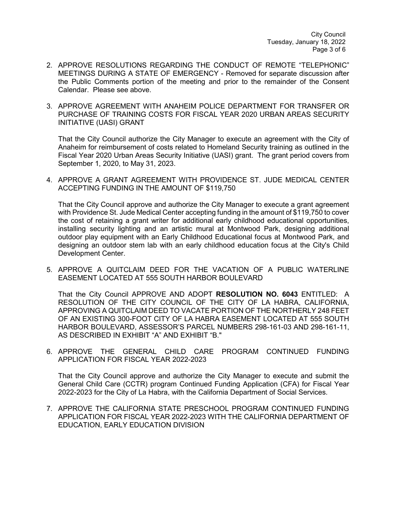- 2. APPROVE RESOLUTIONS REGARDING THE CONDUCT OF REMOTE "TELEPHONIC" MEETINGS DURING A STATE OF EMERGENCY - Removed for separate discussion after the Public Comments portion of the meeting and prior to the remainder of the Consent Calendar. Please see above.
- 3. APPROVE AGREEMENT WITH ANAHEIM POLICE DEPARTMENT FOR TRANSFER OR PURCHASE OF TRAINING COSTS FOR FISCAL YEAR 2020 URBAN AREAS SECURITY INITIATIVE (UASI) GRANT

That the City Council authorize the City Manager to execute an agreement with the City of Anaheim for reimbursement of costs related to Homeland Security training as outlined in the Fiscal Year 2020 Urban Areas Security Initiative (UASI) grant. The grant period covers from September 1, 2020, to May 31, 2023.

4. APPROVE A GRANT AGREEMENT WITH PROVIDENCE ST. JUDE MEDICAL CENTER ACCEPTING FUNDING IN THE AMOUNT OF \$119,750

That the City Council approve and authorize the City Manager to execute a grant agreement with Providence St. Jude Medical Center accepting funding in the amount of \$119,750 to cover the cost of retaining a grant writer for additional early childhood educational opportunities, installing security lighting and an artistic mural at Montwood Park, designing additional outdoor play equipment with an Early Childhood Educational focus at Montwood Park, and designing an outdoor stem lab with an early childhood education focus at the City's Child Development Center.

5. APPROVE A QUITCLAIM DEED FOR THE VACATION OF A PUBLIC WATERLINE EASEMENT LOCATED AT 555 SOUTH HARBOR BOULEVARD

That the City Council APPROVE AND ADOPT **RESOLUTION NO. 6043** ENTITLED: A RESOLUTION OF THE CITY COUNCIL OF THE CITY OF LA HABRA, CALIFORNIA, APPROVING A QUITCLAIM DEED TO VACATE PORTION OF THE NORTHERLY 248 FEET OF AN EXISTING 300-FOOT CITY OF LA HABRA EASEMENT LOCATED AT 555 SOUTH HARBOR BOULEVARD, ASSESSOR'S PARCEL NUMBERS 298-161-03 AND 298-161-11, AS DESCRIBED IN EXHIBIT "A" AND EXHIBIT "B."

6. APPROVE THE GENERAL CHILD CARE PROGRAM CONTINUED FUNDING APPLICATION FOR FISCAL YEAR 2022-2023

That the City Council approve and authorize the City Manager to execute and submit the General Child Care (CCTR) program Continued Funding Application (CFA) for Fiscal Year 2022-2023 for the City of La Habra, with the California Department of Social Services.

7. APPROVE THE CALIFORNIA STATE PRESCHOOL PROGRAM CONTINUED FUNDING APPLICATION FOR FISCAL YEAR 2022-2023 WITH THE CALIFORNIA DEPARTMENT OF EDUCATION, EARLY EDUCATION DIVISION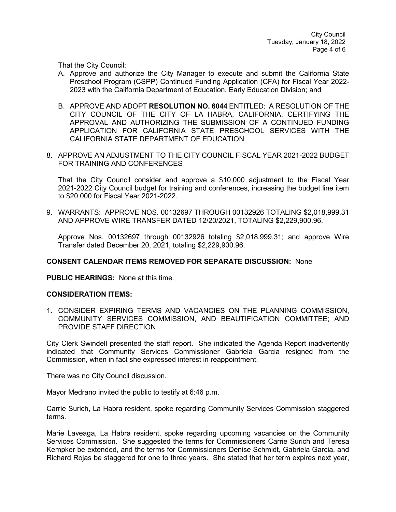That the City Council:

- A. Approve and authorize the City Manager to execute and submit the California State Preschool Program (CSPP) Continued Funding Application (CFA) for Fiscal Year 2022- 2023 with the California Department of Education, Early Education Division; and
- B. APPROVE AND ADOPT **RESOLUTION NO. 6044** ENTITLED: A RESOLUTION OF THE CITY COUNCIL OF THE CITY OF LA HABRA, CALIFORNIA, CERTIFYING THE APPROVAL AND AUTHORIZING THE SUBMISSION OF A CONTINUED FUNDING APPLICATION FOR CALIFORNIA STATE PRESCHOOL SERVICES WITH THE CALIFORNIA STATE DEPARTMENT OF EDUCATION
- 8. APPROVE AN ADJUSTMENT TO THE CITY COUNCIL FISCAL YEAR 2021-2022 BUDGET FOR TRAINING AND CONFERENCES

That the City Council consider and approve a \$10,000 adjustment to the Fiscal Year 2021-2022 City Council budget for training and conferences, increasing the budget line item to \$20,000 for Fiscal Year 2021-2022.

9. WARRANTS: APPROVE NOS. 00132697 THROUGH 00132926 TOTALING \$2,018,999.31 AND APPROVE WIRE TRANSFER DATED 12/20/2021, TOTALING \$2,229,900.96.

Approve Nos. 00132697 through 00132926 totaling \$2,018,999.31; and approve Wire Transfer dated December 20, 2021, totaling \$2,229,900.96.

#### **CONSENT CALENDAR ITEMS REMOVED FOR SEPARATE DISCUSSION:** None

**PUBLIC HEARINGS:** None at this time.

#### **CONSIDERATION ITEMS:**

1. CONSIDER EXPIRING TERMS AND VACANCIES ON THE PLANNING COMMISSION, COMMUNITY SERVICES COMMISSION, AND BEAUTIFICATION COMMITTEE; AND PROVIDE STAFF DIRECTION

City Clerk Swindell presented the staff report. She indicated the Agenda Report inadvertently indicated that Community Services Commissioner Gabriela Garcia resigned from the Commission, when in fact she expressed interest in reappointment.

There was no City Council discussion.

Mayor Medrano invited the public to testify at 6:46 p.m.

Carrie Surich, La Habra resident, spoke regarding Community Services Commission staggered terms.

Marie Laveaga, La Habra resident, spoke regarding upcoming vacancies on the Community Services Commission. She suggested the terms for Commissioners Carrie Surich and Teresa Kempker be extended, and the terms for Commissioners Denise Schmidt, Gabriela Garcia, and Richard Rojas be staggered for one to three years. She stated that her term expires next year,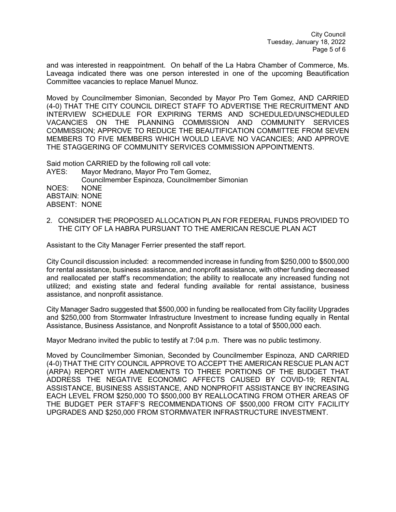and was interested in reappointment. On behalf of the La Habra Chamber of Commerce, Ms. Laveaga indicated there was one person interested in one of the upcoming Beautification Committee vacancies to replace Manuel Munoz.

Moved by Councilmember Simonian, Seconded by Mayor Pro Tem Gomez, AND CARRIED (4-0) THAT THE CITY COUNCIL DIRECT STAFF TO ADVERTISE THE RECRUITMENT AND INTERVIEW SCHEDULE FOR EXPIRING TERMS AND SCHEDULED/UNSCHEDULED VACANCIES ON THE PLANNING COMMISSION AND COMMUNITY SERVICES COMMISSION; APPROVE TO REDUCE THE BEAUTIFICATION COMMITTEE FROM SEVEN MEMBERS TO FIVE MEMBERS WHICH WOULD LEAVE NO VACANCIES; AND APPROVE THE STAGGERING OF COMMUNITY SERVICES COMMISSION APPOINTMENTS.

Said motion CARRIED by the following roll call vote:

AYES: Mayor Medrano, Mayor Pro Tem Gomez, Councilmember Espinoza, Councilmember Simonian NOES: NONE ABSTAIN: NONE ABSENT: NONE

2. CONSIDER THE PROPOSED ALLOCATION PLAN FOR FEDERAL FUNDS PROVIDED TO THE CITY OF LA HABRA PURSUANT TO THE AMERICAN RESCUE PLAN ACT

Assistant to the City Manager Ferrier presented the staff report.

City Council discussion included: a recommended increase in funding from \$250,000 to \$500,000 for rental assistance, business assistance, and nonprofit assistance, with other funding decreased and reallocated per staff's recommendation; the ability to reallocate any increased funding not utilized; and existing state and federal funding available for rental assistance, business assistance, and nonprofit assistance.

City Manager Sadro suggested that \$500,000 in funding be reallocated from City facility Upgrades and \$250,000 from Stormwater Infrastructure Investment to increase funding equally in Rental Assistance, Business Assistance, and Nonprofit Assistance to a total of \$500,000 each.

Mayor Medrano invited the public to testify at 7:04 p.m. There was no public testimony.

Moved by Councilmember Simonian, Seconded by Councilmember Espinoza, AND CARRIED (4-0) THAT THE CITY COUNCIL APPROVE TO ACCEPT THE AMERICAN RESCUE PLAN ACT (ARPA) REPORT WITH AMENDMENTS TO THREE PORTIONS OF THE BUDGET THAT ADDRESS THE NEGATIVE ECONOMIC AFFECTS CAUSED BY COVID-19; RENTAL ASSISTANCE, BUSINESS ASSISTANCE, AND NONPROFIT ASSISTANCE BY INCREASING EACH LEVEL FROM \$250,000 TO \$500,000 BY REALLOCATING FROM OTHER AREAS OF THE BUDGET PER STAFF'S RECOMMENDATIONS OF \$500,000 FROM CITY FACILITY UPGRADES AND \$250,000 FROM STORMWATER INFRASTRUCTURE INVESTMENT.